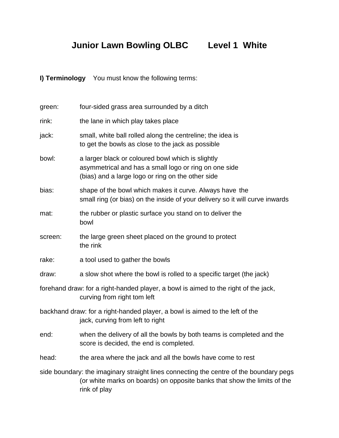# **Junior Lawn Bowling OLBC Level 1 White**

**I) Terminology** You must know the following terms:

| green:  | four-sided grass area surrounded by a ditch                                                                                                                                        |
|---------|------------------------------------------------------------------------------------------------------------------------------------------------------------------------------------|
| rink:   | the lane in which play takes place                                                                                                                                                 |
| jack:   | small, white ball rolled along the centreline; the idea is<br>to get the bowls as close to the jack as possible                                                                    |
| bowl:   | a larger black or coloured bowl which is slightly<br>asymmetrical and has a small logo or ring on one side<br>(bias) and a large logo or ring on the other side                    |
| bias:   | shape of the bowl which makes it curve. Always have the<br>small ring (or bias) on the inside of your delivery so it will curve inwards                                            |
| mat:    | the rubber or plastic surface you stand on to deliver the<br>bowl                                                                                                                  |
| screen: | the large green sheet placed on the ground to protect<br>the rink                                                                                                                  |
| rake:   | a tool used to gather the bowls                                                                                                                                                    |
| draw:   | a slow shot where the bowl is rolled to a specific target (the jack)                                                                                                               |
|         | forehand draw: for a right-handed player, a bowl is aimed to the right of the jack,<br>curving from right tom left                                                                 |
|         | backhand draw: for a right-handed player, a bowl is aimed to the left of the<br>jack, curving from left to right                                                                   |
| end:    | when the delivery of all the bowls by both teams is completed and the<br>score is decided, the end is completed.                                                                   |
| head:   | the area where the jack and all the bowls have come to rest                                                                                                                        |
|         | side boundary: the imaginary straight lines connecting the centre of the boundary pegs<br>(or white marks on boards) on opposite banks that show the limits of the<br>rink of play |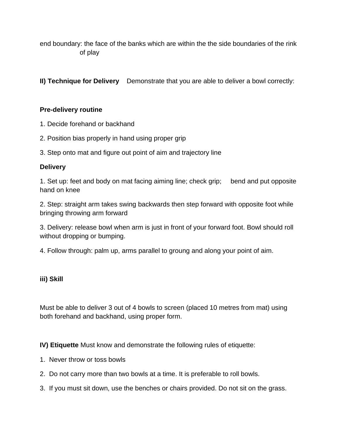end boundary: the face of the banks which are within the the side boundaries of the rink of play

**II) Technique for Delivery** Demonstrate that you are able to deliver a bowl correctly:

## **Pre-delivery routine**

- 1. Decide forehand or backhand
- 2. Position bias properly in hand using proper grip
- 3. Step onto mat and figure out point of aim and trajectory line

#### **Delivery**

1. Set up: feet and body on mat facing aiming line; check grip; bend and put opposite hand on knee

2. Step: straight arm takes swing backwards then step forward with opposite foot while bringing throwing arm forward

3. Delivery: release bowl when arm is just in front of your forward foot. Bowl should roll without dropping or bumping.

4. Follow through: palm up, arms parallel to groung and along your point of aim.

#### **iii) Skill**

Must be able to deliver 3 out of 4 bowls to screen (placed 10 metres from mat) using both forehand and backhand, using proper form.

**IV) Etiquette** Must know and demonstrate the following rules of etiquette:

- 1. Never throw or toss bowls
- 2. Do not carry more than two bowls at a time. It is preferable to roll bowls.
- 3. If you must sit down, use the benches or chairs provided. Do not sit on the grass.